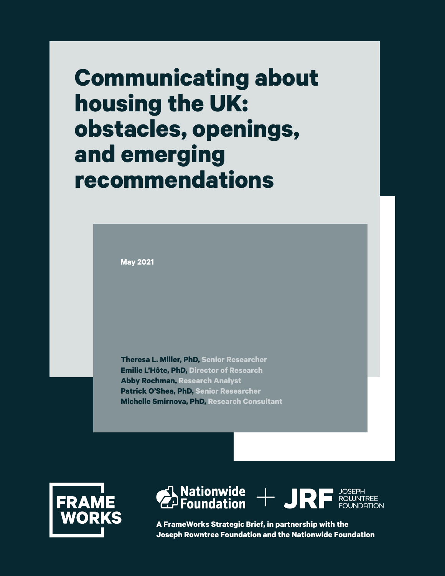# **Communicating about housing the UK: obstacles, openings, and emerging recommendations**

**May 2021**

**Theresa L. Miller, PhD, Senior Researcher Emilie L'Hôte, PhD, Director of Research Abby Rochman, Research Analyst Patrick O'Shea, PhD, Senior Researcher Michelle Smirnova, PhD, Research Consultant**





**A FrameWorks Strategic Brief, in partnership with the Joseph Rowntree Foundation and the Nationwide Foundation**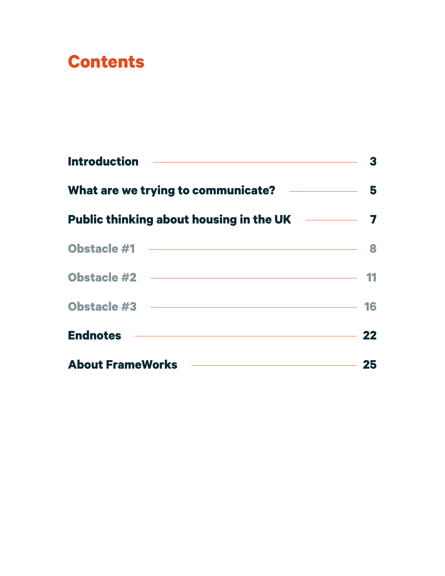# **Contents**

| <b>Endnotes 22</b>                                |  |
|---------------------------------------------------|--|
| About FrameWorks <b>Constanting Constructs</b> 25 |  |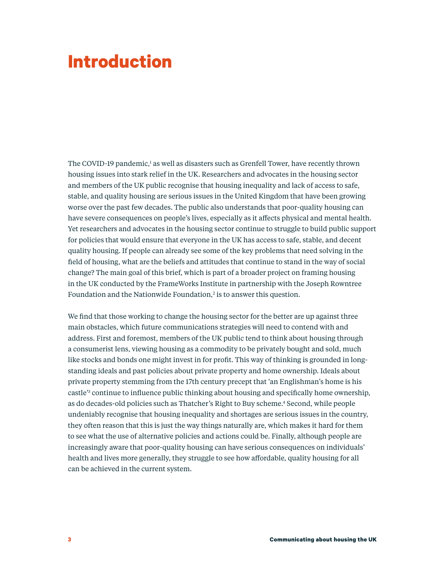# **Introduction**

The COVID-19 pandemic,<sup>1</sup> as well as disasters such as Grenfell Tower, have recently thrown housing issues into stark relief in the UK. Researchers and advocates in the housing sector and members of the UK public recognise that housing inequality and lack of access to safe, stable, and quality housing are serious issues in the United Kingdom that have been growing worse over the past few decades. The public also understands that poor-quality housing can have severe consequences on people's lives, especially as it affects physical and mental health. Yet researchers and advocates in the housing sector continue to struggle to build public support for policies that would ensure that everyone in the UK has access to safe, stable, and decent quality housing. If people can already see some of the key problems that need solving in the field of housing, what are the beliefs and attitudes that continue to stand in the way of social change? The main goal of this brief, which is part of a broader project on framing housing in the UK conducted by the FrameWorks Institute in partnership with the Joseph Rowntree Foundation and the Nationwide Foundation,<sup>2</sup> is to answer this question.

We find that those working to change the housing sector for the better are up against three main obstacles, which future communications strategies will need to contend with and address. First and foremost, members of the UK public tend to think about housing through a consumerist lens, viewing housing as a commodity to be privately bought and sold, much like stocks and bonds one might invest in for profit. This way of thinking is grounded in longstanding ideals and past policies about private property and home ownership. Ideals about private property stemming from the 17th century precept that 'an Englishman's home is his castle'3 continue to influence public thinking about housing and specifically home ownership, as do decades-old policies such as Thatcher's Right to Buy scheme.4 Second, while people undeniably recognise that housing inequality and shortages are serious issues in the country, they often reason that this is just the way things naturally are, which makes it hard for them to see what the use of alternative policies and actions could be. Finally, although people are increasingly aware that poor-quality housing can have serious consequences on individuals' health and lives more generally, they struggle to see how affordable, quality housing for all can be achieved in the current system.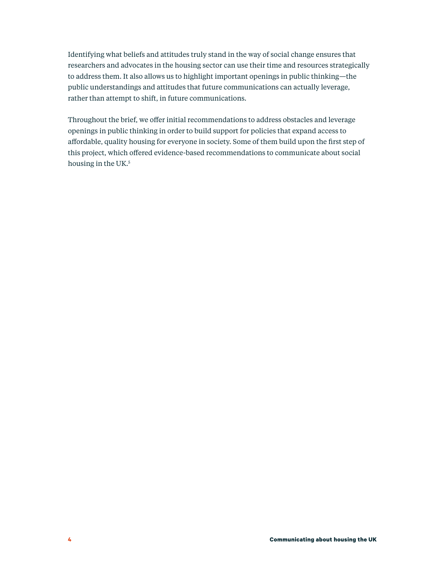Identifying what beliefs and attitudes truly stand in the way of social change ensures that researchers and advocates in the housing sector can use their time and resources strategically to address them. It also allows us to highlight important openings in public thinking—the public understandings and attitudes that future communications can actually leverage, rather than attempt to shift, in future communications.

Throughout the brief, we offer initial recommendations to address obstacles and leverage openings in public thinking in order to build support for policies that expand access to affordable, quality housing for everyone in society. Some of them build upon the first step of this project, which offered evidence-based recommendations to communicate about social housing in the UK.<sup>5</sup>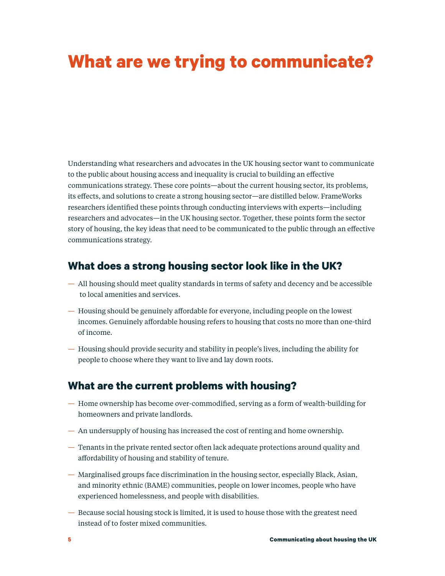# **What are we trying to communicate?**

Understanding what researchers and advocates in the UK housing sector want to communicate to the public about housing access and inequality is crucial to building an effective communications strategy. These core points—about the current housing sector, its problems, its effects, and solutions to create a strong housing sector—are distilled below. FrameWorks researchers identified these points through conducting interviews with experts—including researchers and advocates—in the UK housing sector. Together, these points form the sector story of housing, the key ideas that need to be communicated to the public through an effective communications strategy.

### **What does a strong housing sector look like in the UK?**

- All housing should meet quality standards in terms of safety and decency and be accessible to local amenities and services.
- Housing should be genuinely affordable for everyone, including people on the lowest incomes. Genuinely affordable housing refers to housing that costs no more than one-third of income.
- Housing should provide security and stability in people's lives, including the ability for people to choose where they want to live and lay down roots.

### **What are the current problems with housing?**

- Home ownership has become over-commodified, serving as a form of wealth-building for homeowners and private landlords.
- An undersupply of housing has increased the cost of renting and home ownership.
- Tenants in the private rented sector often lack adequate protections around quality and affordability of housing and stability of tenure.
- Marginalised groups face discrimination in the housing sector, especially Black, Asian, and minority ethnic (BAME) communities, people on lower incomes, people who have experienced homelessness, and people with disabilities.
- Because social housing stock is limited, it is used to house those with the greatest need instead of to foster mixed communities.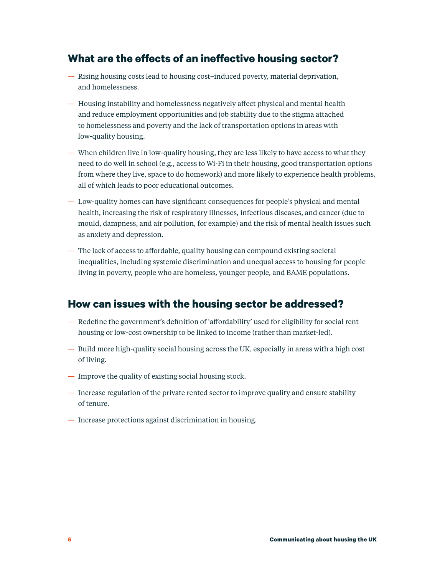### **What are the effects of an ineffective housing sector?**

- Rising housing costs lead to housing cost–induced poverty, material deprivation, and homelessness.
- Housing instability and homelessness negatively affect physical and mental health and reduce employment opportunities and job stability due to the stigma attached to homelessness and poverty and the lack of transportation options in areas with low-quality housing.
- When children live in low-quality housing, they are less likely to have access to what they need to do well in school (e.g., access to Wi-Fi in their housing, good transportation options from where they live, space to do homework) and more likely to experience health problems, all of which leads to poor educational outcomes.
- Low-quality homes can have significant consequences for people's physical and mental health, increasing the risk of respiratory illnesses, infectious diseases, and cancer (due to mould, dampness, and air pollution, for example) and the risk of mental health issues such as anxiety and depression.
- The lack of access to affordable, quality housing can compound existing societal inequalities, including systemic discrimination and unequal access to housing for people living in poverty, people who are homeless, younger people, and BAME populations.

### **How can issues with the housing sector be addressed?**

- Redefine the government's definition of 'affordability' used for eligibility for social rent housing or low-cost ownership to be linked to income (rather than market-led).
- Build more high-quality social housing across the UK, especially in areas with a high cost of living.
- Improve the quality of existing social housing stock.
- Increase regulation of the private rented sector to improve quality and ensure stability of tenure.
- Increase protections against discrimination in housing.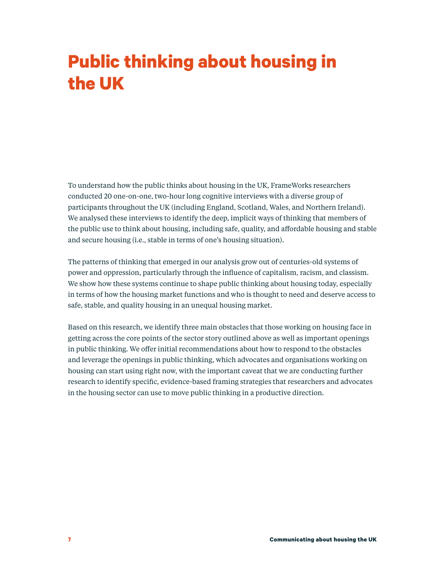# **Public thinking about housing in the UK**

To understand how the public thinks about housing in the UK, FrameWorks researchers conducted 20 one-on-one, two-hour long cognitive interviews with a diverse group of participants throughout the UK (including England, Scotland, Wales, and Northern Ireland). We analysed these interviews to identify the deep, implicit ways of thinking that members of the public use to think about housing, including safe, quality, and affordable housing and stable and secure housing (i.e., stable in terms of one's housing situation).

The patterns of thinking that emerged in our analysis grow out of centuries-old systems of power and oppression, particularly through the influence of capitalism, racism, and classism. We show how these systems continue to shape public thinking about housing today, especially in terms of how the housing market functions and who is thought to need and deserve access to safe, stable, and quality housing in an unequal housing market.

Based on this research, we identify three main obstacles that those working on housing face in getting across the core points of the sector story outlined above as well as important openings in public thinking. We offer initial recommendations about how to respond to the obstacles and leverage the openings in public thinking, which advocates and organisations working on housing can start using right now, with the important caveat that we are conducting further research to identify specific, evidence-based framing strategies that researchers and advocates in the housing sector can use to move public thinking in a productive direction.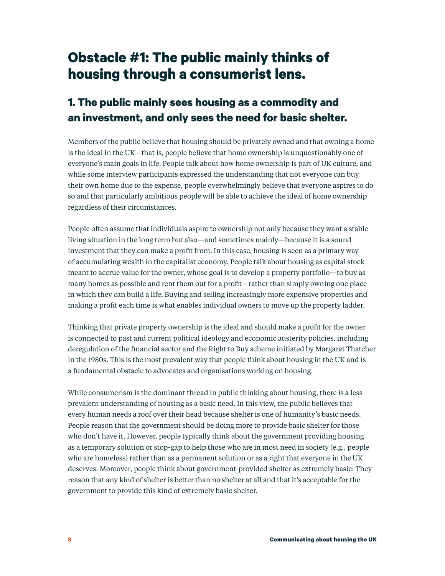# **Obstacle #1: The public mainly thinks of housing through a consumerist lens.**

### **1. The public mainly sees housing as a commodity and an investment, and only sees the need for basic shelter.**

Members of the public believe that housing should be privately owned and that owning a home is the ideal in the UK—that is, people believe that home ownership is unquestionably one of everyone's main goals in life. People talk about how home ownership is part of UK culture, and while some interview participants expressed the understanding that not everyone can buy their own home due to the expense, people overwhelmingly believe that everyone aspires to do so and that particularly ambitious people will be able to achieve the ideal of home ownership regardless of their circumstances.

People often assume that individuals aspire to ownership not only because they want a stable living situation in the long term but also—and sometimes mainly—because it is a sound investment that they can make a profit from. In this case, housing is seen as a primary way of accumulating wealth in the capitalist economy. People talk about housing as capital stock meant to accrue value for the owner, whose goal is to develop a property portfolio—to buy as many homes as possible and rent them out for a profit—rather than simply owning one place in which they can build a life. Buying and selling increasingly more expensive properties and making a profit each time is what enables individual owners to move up the property ladder.

Thinking that private property ownership is the ideal and should make a profit for the owner is connected to past and current political ideology and economic austerity policies, including deregulation of the financial sector and the Right to Buy scheme initiated by Margaret Thatcher in the 1980s. This is the most prevalent way that people think about housing in the UK and is a fundamental obstacle to advocates and organisations working on housing.

While consumerism is the dominant thread in public thinking about housing, there is a less prevalent understanding of housing as a basic need. In this view, the public believes that every human needs a roof over their head because shelter is one of humanity's basic needs. People reason that the government should be doing more to provide basic shelter for those who don't have it. However, people typically think about the government providing housing as a temporary solution or stop-gap to help those who are in most need in society (e.g., people who are homeless) rather than as a permanent solution or as a right that everyone in the UK deserves. Moreover, people think about government-provided shelter as extremely basic: They reason that any kind of shelter is better than no shelter at all and that it's acceptable for the government to provide this kind of extremely basic shelter.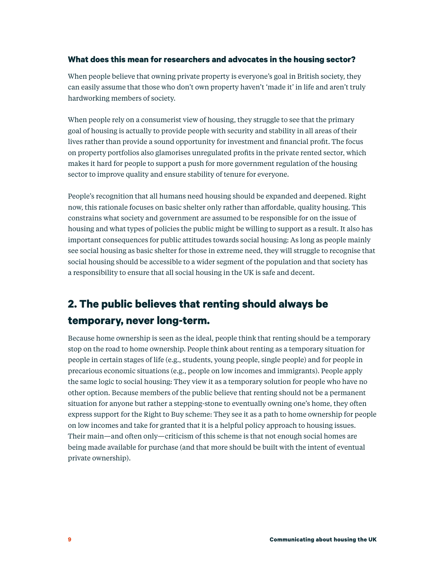#### **What does this mean for researchers and advocates in the housing sector?**

When people believe that owning private property is everyone's goal in British society, they can easily assume that those who don't own property haven't 'made it' in life and aren't truly hardworking members of society.

When people rely on a consumerist view of housing, they struggle to see that the primary goal of housing is actually to provide people with security and stability in all areas of their lives rather than provide a sound opportunity for investment and financial profit. The focus on property portfolios also glamorises unregulated profits in the private rented sector, which makes it hard for people to support a push for more government regulation of the housing sector to improve quality and ensure stability of tenure for everyone.

People's recognition that all humans need housing should be expanded and deepened. Right now, this rationale focuses on basic shelter only rather than affordable, quality housing. This constrains what society and government are assumed to be responsible for on the issue of housing and what types of policies the public might be willing to support as a result. It also has important consequences for public attitudes towards social housing: As long as people mainly see social housing as basic shelter for those in extreme need, they will struggle to recognise that social housing should be accessible to a wider segment of the population and that society has a responsibility to ensure that all social housing in the UK is safe and decent.

## **2. The public believes that renting should always be temporary, never long-term.**

Because home ownership is seen as the ideal, people think that renting should be a temporary stop on the road to home ownership. People think about renting as a temporary situation for people in certain stages of life (e.g., students, young people, single people) and for people in precarious economic situations (e.g., people on low incomes and immigrants). People apply the same logic to social housing: They view it as a temporary solution for people who have no other option. Because members of the public believe that renting should not be a permanent situation for anyone but rather a stepping-stone to eventually owning one's home, they often express support for the Right to Buy scheme: They see it as a path to home ownership for people on low incomes and take for granted that it is a helpful policy approach to housing issues. Their main—and often only—criticism of this scheme is that not enough social homes are being made available for purchase (and that more should be built with the intent of eventual private ownership).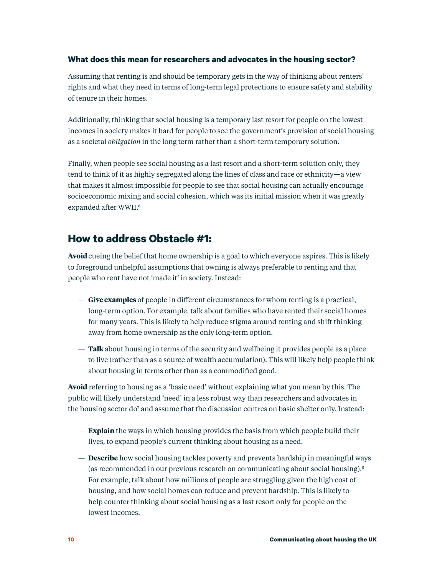#### **What does this mean for researchers and advocates in the housing sector?**

Assuming that renting is and should be temporary gets in the way of thinking about renters' rights and what they need in terms of long-term legal protections to ensure safety and stability of tenure in their homes.

Additionally, thinking that social housing is a temporary last resort for people on the lowest incomes in society makes it hard for people to see the government's provision of social housing as a societal *obligation* in the long term rather than a short-term temporary solution.

Finally, when people see social housing as a last resort and a short-term solution only, they tend to think of it as highly segregated along the lines of class and race or ethnicity—a view that makes it almost impossible for people to see that social housing can actually encourage socioeconomic mixing and social cohesion, which was its initial mission when it was greatly expanded after WWII.<sup>6</sup>

### **How to address Obstacle #1:**

**Avoid** cueing the belief that home ownership is a goal to which everyone aspires. This is likely to foreground unhelpful assumptions that owning is always preferable to renting and that people who rent have not 'made it' in society. Instead:

- **Give examples** of people in different circumstances for whom renting is a practical, long-term option. For example, talk about families who have rented their social homes for many years. This is likely to help reduce stigma around renting and shift thinking away from home ownership as the only long-term option.
- **Talk** about housing in terms of the security and wellbeing it provides people as a place to live (rather than as a source of wealth accumulation). This will likely help people think about housing in terms other than as a commodified good.

**Avoid** referring to housing as a 'basic need' without explaining what you mean by this. The public will likely understand 'need' in a less robust way than researchers and advocates in the housing sector do<sup>7</sup> and assume that the discussion centres on basic shelter only. Instead:

- **Explain** the ways in which housing provides the basis from which people build their lives, to expand people's current thinking about housing as a need.
- **Describe** how social housing tackles poverty and prevents hardship in meaningful ways (as recommended in our previous research on communicating about social housing).8 For example, talk about how millions of people are struggling given the high cost of housing, and how social homes can reduce and prevent hardship. This is likely to help counter thinking about social housing as a last resort only for people on the lowest incomes.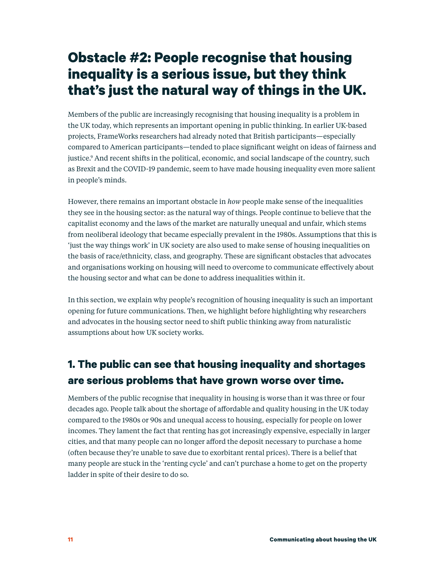# **Obstacle #2: People recognise that housing inequality is a serious issue, but they think that's just the natural way of things in the UK.**

Members of the public are increasingly recognising that housing inequality is a problem in the UK today, which represents an important opening in public thinking. In earlier UK-based projects, FrameWorks researchers had already noted that British participants—especially compared to American participants—tended to place significant weight on ideas of fairness and justice.9 And recent shifts in the political, economic, and social landscape of the country, such as Brexit and the COVID-19 pandemic, seem to have made housing inequality even more salient in people's minds.

However, there remains an important obstacle in *how* people make sense of the inequalities they see in the housing sector: as the natural way of things. People continue to believe that the capitalist economy and the laws of the market are naturally unequal and unfair, which stems from neoliberal ideology that became especially prevalent in the 1980s. Assumptions that this is 'just the way things work' in UK society are also used to make sense of housing inequalities on the basis of race/ethnicity, class, and geography. These are significant obstacles that advocates and organisations working on housing will need to overcome to communicate effectively about the housing sector and what can be done to address inequalities within it.

In this section, we explain why people's recognition of housing inequality is such an important opening for future communications. Then, we highlight before highlighting why researchers and advocates in the housing sector need to shift public thinking away from naturalistic assumptions about how UK society works.

## **1. The public can see that housing inequality and shortages are serious problems that have grown worse over time.**

Members of the public recognise that inequality in housing is worse than it was three or four decades ago. People talk about the shortage of affordable and quality housing in the UK today compared to the 1980s or 90s and unequal access to housing, especially for people on lower incomes. They lament the fact that renting has got increasingly expensive, especially in larger cities, and that many people can no longer afford the deposit necessary to purchase a home (often because they're unable to save due to exorbitant rental prices). There is a belief that many people are stuck in the 'renting cycle' and can't purchase a home to get on the property ladder in spite of their desire to do so.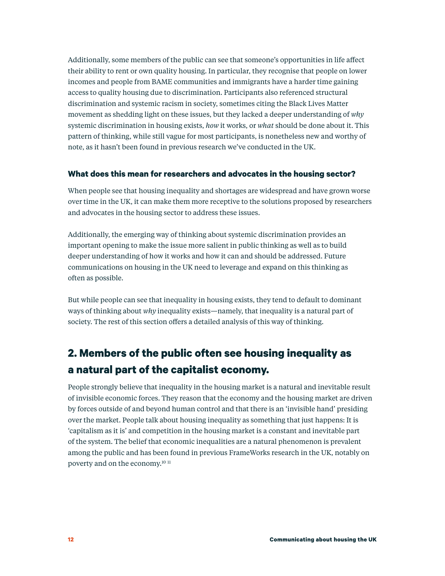Additionally, some members of the public can see that someone's opportunities in life affect their ability to rent or own quality housing. In particular, they recognise that people on lower incomes and people from BAME communities and immigrants have a harder time gaining access to quality housing due to discrimination. Participants also referenced structural discrimination and systemic racism in society, sometimes citing the Black Lives Matter movement as shedding light on these issues, but they lacked a deeper understanding of *why*  systemic discrimination in housing exists, *how* it works, or *what* should be done about it. This pattern of thinking, while still vague for most participants, is nonetheless new and worthy of note, as it hasn't been found in previous research we've conducted in the UK.

#### **What does this mean for researchers and advocates in the housing sector?**

When people see that housing inequality and shortages are widespread and have grown worse over time in the UK, it can make them more receptive to the solutions proposed by researchers and advocates in the housing sector to address these issues.

Additionally, the emerging way of thinking about systemic discrimination provides an important opening to make the issue more salient in public thinking as well as to build deeper understanding of how it works and how it can and should be addressed. Future communications on housing in the UK need to leverage and expand on this thinking as often as possible.

But while people can see that inequality in housing exists, they tend to default to dominant ways of thinking about *why* inequality exists—namely, that inequality is a natural part of society. The rest of this section offers a detailed analysis of this way of thinking.

### **2. Members of the public often see housing inequality as a natural part of the capitalist economy.**

People strongly believe that inequality in the housing market is a natural and inevitable result of invisible economic forces. They reason that the economy and the housing market are driven by forces outside of and beyond human control and that there is an 'invisible hand' presiding over the market. People talk about housing inequality as something that just happens: It is 'capitalism as it is' and competition in the housing market is a constant and inevitable part of the system. The belief that economic inequalities are a natural phenomenon is prevalent among the public and has been found in previous FrameWorks research in the UK, notably on poverty and on the economy.10 <sup>11</sup>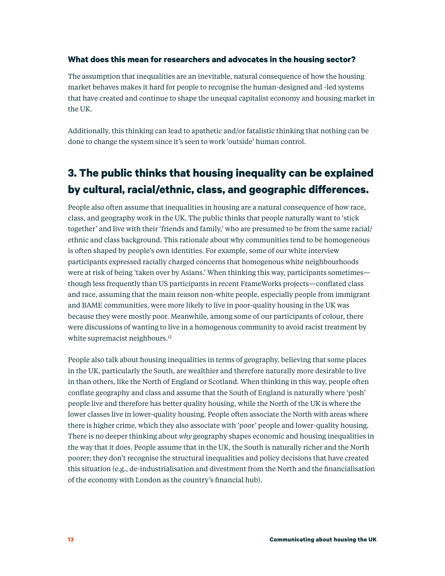#### **What does this mean for researchers and advocates in the housing sector?**

The assumption that inequalities are an inevitable, natural consequence of how the housing market behaves makes it hard for people to recognise the human-designed and -led systems that have created and continue to shape the unequal capitalist economy and housing market in the UK.

Additionally, this thinking can lead to apathetic and/or fatalistic thinking that nothing can be done to change the system since it's seen to work 'outside' human control.

### **3. The public thinks that housing inequality can be explained by cultural, racial/ethnic, class, and geographic differences.**

People also often assume that inequalities in housing are a natural consequence of how race, class, and geography work in the UK. The public thinks that people naturally want to 'stick together' and live with their 'friends and family,' who are presumed to be from the same racial/ ethnic and class background. This rationale about why communities tend to be homogeneous is often shaped by people's own identities. For example, some of our white interview participants expressed racially charged concerns that homogenous white neighbourhoods were at risk of being 'taken over by Asians.' When thinking this way, participants sometimes though less frequently than US participants in recent FrameWorks projects—conflated class and race, assuming that the main reason non-white people, especially people from immigrant and BAME communities, were more likely to live in poor-quality housing in the UK was because they were mostly poor. Meanwhile, among some of our participants of colour, there were discussions of wanting to live in a homogenous community to avoid racist treatment by white supremacist neighbours.<sup>12</sup>

People also talk about housing inequalities in terms of geography, believing that some places in the UK, particularly the South, are wealthier and therefore naturally more desirable to live in than others, like the North of England or Scotland. When thinking in this way, people often conflate geography and class and assume that the South of England is naturally where 'posh' people live and therefore has better quality housing, while the North of the UK is where the lower classes live in lower-quality housing. People often associate the North with areas where there is higher crime, which they also associate with 'poor' people and lower-quality housing. There is no deeper thinking about *why* geography shapes economic and housing inequalities in the way that it does. People assume that in the UK, the South is naturally richer and the North poorer; they don't recognise the structural inequalities and policy decisions that have created this situation (e.g., de-industrialisation and divestment from the North and the financialisation of the economy with London as the country's financial hub).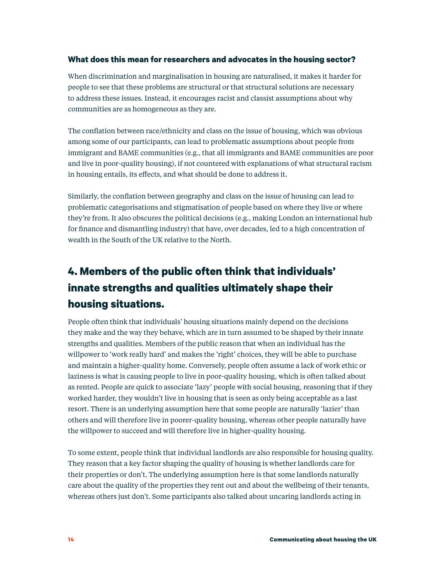#### **What does this mean for researchers and advocates in the housing sector?**

When discrimination and marginalisation in housing are naturalised, it makes it harder for people to see that these problems are structural or that structural solutions are necessary to address these issues. Instead, it encourages racist and classist assumptions about why communities are as homogeneous as they are.

The conflation between race/ethnicity and class on the issue of housing, which was obvious among some of our participants, can lead to problematic assumptions about people from immigrant and BAME communities (e.g., that all immigrants and BAME communities are poor and live in poor-quality housing), if not countered with explanations of what structural racism in housing entails, its effects, and what should be done to address it.

Similarly, the conflation between geography and class on the issue of housing can lead to problematic categorisations and stigmatisation of people based on where they live or where they're from. It also obscures the political decisions (e.g., making London an international hub for finance and dismantling industry) that have, over decades, led to a high concentration of wealth in the South of the UK relative to the North.

## **4. Members of the public often think that individuals' innate strengths and qualities ultimately shape their housing situations.**

People often think that individuals' housing situations mainly depend on the decisions they make and the way they behave, which are in turn assumed to be shaped by their innate strengths and qualities. Members of the public reason that when an individual has the willpower to 'work really hard' and makes the 'right' choices, they will be able to purchase and maintain a higher-quality home. Conversely, people often assume a lack of work ethic or laziness is what is causing people to live in poor-quality housing, which is often talked about as rented. People are quick to associate 'lazy' people with social housing, reasoning that if they worked harder, they wouldn't live in housing that is seen as only being acceptable as a last resort. There is an underlying assumption here that some people are naturally 'lazier' than others and will therefore live in poorer-quality housing, whereas other people naturally have the willpower to succeed and will therefore live in higher-quality housing.

To some extent, people think that individual landlords are also responsible for housing quality. They reason that a key factor shaping the quality of housing is whether landlords care for their properties or don't. The underlying assumption here is that some landlords naturally care about the quality of the properties they rent out and about the wellbeing of their tenants, whereas others just don't. Some participants also talked about uncaring landlords acting in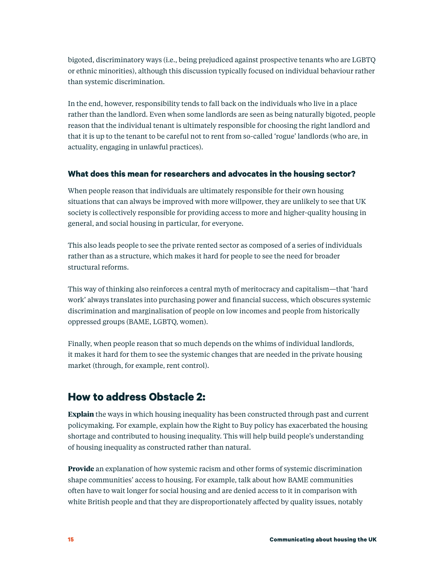bigoted, discriminatory ways (i.e., being prejudiced against prospective tenants who are LGBTQ or ethnic minorities), although this discussion typically focused on individual behaviour rather than systemic discrimination.

In the end, however, responsibility tends to fall back on the individuals who live in a place rather than the landlord. Even when some landlords are seen as being naturally bigoted, people reason that the individual tenant is ultimately responsible for choosing the right landlord and that it is up to the tenant to be careful not to rent from so-called 'rogue' landlords (who are, in actuality, engaging in unlawful practices).

#### **What does this mean for researchers and advocates in the housing sector?**

When people reason that individuals are ultimately responsible for their own housing situations that can always be improved with more willpower, they are unlikely to see that UK society is collectively responsible for providing access to more and higher-quality housing in general, and social housing in particular, for everyone.

This also leads people to see the private rented sector as composed of a series of individuals rather than as a structure, which makes it hard for people to see the need for broader structural reforms.

This way of thinking also reinforces a central myth of meritocracy and capitalism—that 'hard work' always translates into purchasing power and financial success, which obscures systemic discrimination and marginalisation of people on low incomes and people from historically oppressed groups (BAME, LGBTQ, women).

Finally, when people reason that so much depends on the whims of individual landlords, it makes it hard for them to see the systemic changes that are needed in the private housing market (through, for example, rent control).

### **How to address Obstacle 2:**

**Explain** the ways in which housing inequality has been constructed through past and current policymaking. For example, explain how the Right to Buy policy has exacerbated the housing shortage and contributed to housing inequality. This will help build people's understanding of housing inequality as constructed rather than natural.

**Provide** an explanation of how systemic racism and other forms of systemic discrimination shape communities' access to housing. For example, talk about how BAME communities often have to wait longer for social housing and are denied access to it in comparison with white British people and that they are disproportionately affected by quality issues, notably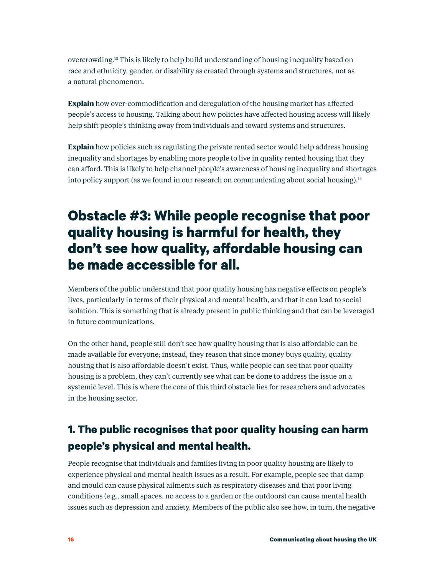overcrowding.13 This is likely to help build understanding of housing inequality based on race and ethnicity, gender, or disability as created through systems and structures, not as a natural phenomenon.

**Explain** how over-commodification and deregulation of the housing market has affected people's access to housing. Talking about how policies have affected housing access will likely help shift people's thinking away from individuals and toward systems and structures.

**Explain** how policies such as regulating the private rented sector would help address housing inequality and shortages by enabling more people to live in quality rented housing that they can afford. This is likely to help channel people's awareness of housing inequality and shortages into policy support (as we found in our research on communicating about social housing).<sup>14</sup>

# **Obstacle #3: While people recognise that poor quality housing is harmful for health, they don't see how quality, affordable housing can be made accessible for all.**

Members of the public understand that poor quality housing has negative effects on people's lives, particularly in terms of their physical and mental health, and that it can lead to social isolation. This is something that is already present in public thinking and that can be leveraged in future communications.

On the other hand, people still don't see how quality housing that is also affordable can be made available for everyone; instead, they reason that since money buys quality, quality housing that is also affordable doesn't exist. Thus, while people can see that poor quality housing is a problem, they can't currently see what can be done to address the issue on a systemic level. This is where the core of this third obstacle lies for researchers and advocates in the housing sector.

### **1. The public recognises that poor quality housing can harm people's physical and mental health.**

People recognise that individuals and families living in poor quality housing are likely to experience physical and mental health issues as a result. For example, people see that damp and mould can cause physical ailments such as respiratory diseases and that poor living conditions (e.g., small spaces, no access to a garden or the outdoors) can cause mental health issues such as depression and anxiety. Members of the public also see how, in turn, the negative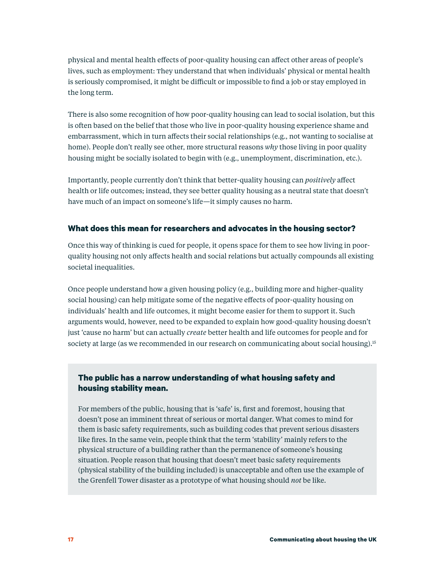physical and mental health effects of poor-quality housing can affect other areas of people's lives, such as employment: They understand that when individuals' physical or mental health is seriously compromised, it might be difficult or impossible to find a job or stay employed in the long term.

There is also some recognition of how poor-quality housing can lead to social isolation, but this is often based on the belief that those who live in poor-quality housing experience shame and embarrassment, which in turn affects their social relationships (e.g., not wanting to socialise at home). People don't really see other, more structural reasons *why* those living in poor quality housing might be socially isolated to begin with (e.g., unemployment, discrimination, etc.).

Importantly, people currently don't think that better-quality housing can *positively* affect health or life outcomes; instead, they see better quality housing as a neutral state that doesn't have much of an impact on someone's life—it simply causes no harm.

#### **What does this mean for researchers and advocates in the housing sector?**

Once this way of thinking is cued for people, it opens space for them to see how living in poorquality housing not only affects health and social relations but actually compounds all existing societal inequalities.

Once people understand how a given housing policy (e.g., building more and higher-quality social housing) can help mitigate some of the negative effects of poor-quality housing on individuals' health and life outcomes, it might become easier for them to support it. Such arguments would, however, need to be expanded to explain how good-quality housing doesn't just 'cause no harm' but can actually *create* better health and life outcomes for people and for society at large (as we recommended in our research on communicating about social housing).<sup>15</sup>

#### **The public has a narrow understanding of what housing safety and housing stability mean.**

For members of the public, housing that is 'safe' is, first and foremost, housing that doesn't pose an imminent threat of serious or mortal danger. What comes to mind for them is basic safety requirements, such as building codes that prevent serious disasters like fires. In the same vein, people think that the term 'stability' mainly refers to the physical structure of a building rather than the permanence of someone's housing situation. People reason that housing that doesn't meet basic safety requirements (physical stability of the building included) is unacceptable and often use the example of the Grenfell Tower disaster as a prototype of what housing should *not* be like.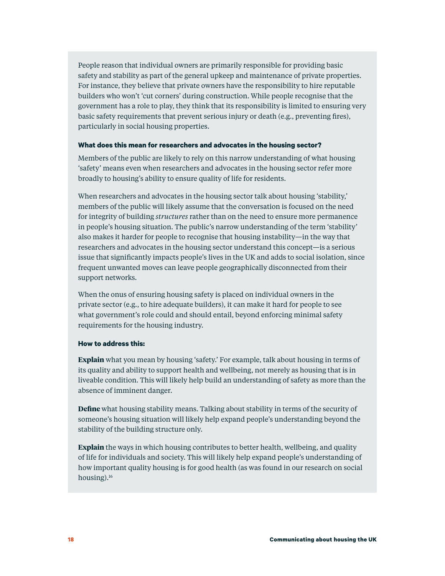People reason that individual owners are primarily responsible for providing basic safety and stability as part of the general upkeep and maintenance of private properties. For instance, they believe that private owners have the responsibility to hire reputable builders who won't 'cut corners' during construction. While people recognise that the government has a role to play, they think that its responsibility is limited to ensuring very basic safety requirements that prevent serious injury or death (e.g., preventing fires), particularly in social housing properties.

#### **What does this mean for researchers and advocates in the housing sector?**

Members of the public are likely to rely on this narrow understanding of what housing 'safety' means even when researchers and advocates in the housing sector refer more broadly to housing's ability to ensure quality of life for residents.

When researchers and advocates in the housing sector talk about housing 'stability,' members of the public will likely assume that the conversation is focused on the need for integrity of building *structures* rather than on the need to ensure more permanence in people's housing situation. The public's narrow understanding of the term 'stability' also makes it harder for people to recognise that housing instability—in the way that researchers and advocates in the housing sector understand this concept—is a serious issue that significantly impacts people's lives in the UK and adds to social isolation, since frequent unwanted moves can leave people geographically disconnected from their support networks.

When the onus of ensuring housing safety is placed on individual owners in the private sector (e.g., to hire adequate builders), it can make it hard for people to see what government's role could and should entail, beyond enforcing minimal safety requirements for the housing industry.

#### **How to address this:**

**Explain** what you mean by housing 'safety.' For example, talk about housing in terms of its quality and ability to support health and wellbeing, not merely as housing that is in liveable condition. This will likely help build an understanding of safety as more than the absence of imminent danger.

**Define** what housing stability means. Talking about stability in terms of the security of someone's housing situation will likely help expand people's understanding beyond the stability of the building structure only.

**Explain** the ways in which housing contributes to better health, wellbeing, and quality of life for individuals and society. This will likely help expand people's understanding of how important quality housing is for good health (as was found in our research on social housing).16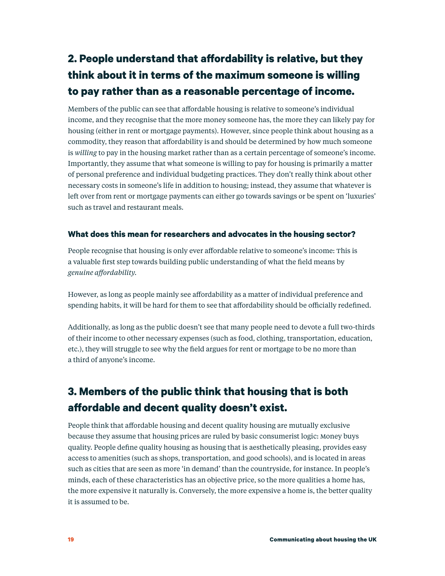## **2. People understand that affordability is relative, but they think about it in terms of the maximum someone is willing to pay rather than as a reasonable percentage of income.**

Members of the public can see that affordable housing is relative to someone's individual income, and they recognise that the more money someone has, the more they can likely pay for housing (either in rent or mortgage payments). However, since people think about housing as a commodity, they reason that affordability is and should be determined by how much someone is *willing* to pay in the housing market rather than as a certain percentage of someone's income. Importantly, they assume that what someone is willing to pay for housing is primarily a matter of personal preference and individual budgeting practices. They don't really think about other necessary costs in someone's life in addition to housing; instead, they assume that whatever is left over from rent or mortgage payments can either go towards savings or be spent on 'luxuries' such as travel and restaurant meals.

#### **What does this mean for researchers and advocates in the housing sector?**

People recognise that housing is only ever affordable relative to someone's income: This is a valuable first step towards building public understanding of what the field means by *genuine affordability.*

However, as long as people mainly see affordability as a matter of individual preference and spending habits, it will be hard for them to see that affordability should be officially redefined.

Additionally, as long as the public doesn't see that many people need to devote a full two-thirds of their income to other necessary expenses (such as food, clothing, transportation, education, etc.), they will struggle to see why the field argues for rent or mortgage to be no more than a third of anyone's income.

## **3. Members of the public think that housing that is both affordable and decent quality doesn't exist.**

People think that affordable housing and decent quality housing are mutually exclusive because they assume that housing prices are ruled by basic consumerist logic: Money buys quality. People define quality housing as housing that is aesthetically pleasing, provides easy access to amenities (such as shops, transportation, and good schools), and is located in areas such as cities that are seen as more 'in demand' than the countryside, for instance. In people's minds, each of these characteristics has an objective price, so the more qualities a home has, the more expensive it naturally is. Conversely, the more expensive a home is, the better quality it is assumed to be.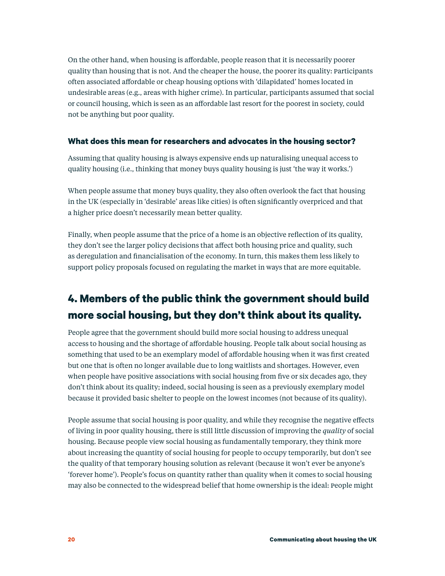On the other hand, when housing is affordable, people reason that it is necessarily poorer quality than housing that is not. And the cheaper the house, the poorer its quality: Participants often associated affordable or cheap housing options with 'dilapidated' homes located in undesirable areas (e.g., areas with higher crime). In particular, participants assumed that social or council housing, which is seen as an affordable last resort for the poorest in society, could not be anything but poor quality.

#### **What does this mean for researchers and advocates in the housing sector?**

Assuming that quality housing is always expensive ends up naturalising unequal access to quality housing (i.e., thinking that money buys quality housing is just 'the way it works.')

When people assume that money buys quality, they also often overlook the fact that housing in the UK (especially in 'desirable' areas like cities) is often significantly overpriced and that a higher price doesn't necessarily mean better quality.

Finally, when people assume that the price of a home is an objective reflection of its quality, they don't see the larger policy decisions that affect both housing price and quality, such as deregulation and financialisation of the economy. In turn, this makes them less likely to support policy proposals focused on regulating the market in ways that are more equitable.

### **4. Members of the public think the government should build more social housing, but they don't think about its quality.**

People agree that the government should build more social housing to address unequal access to housing and the shortage of affordable housing. People talk about social housing as something that used to be an exemplary model of affordable housing when it was first created but one that is often no longer available due to long waitlists and shortages. However, even when people have positive associations with social housing from five or six decades ago, they don't think about its quality; indeed, social housing is seen as a previously exemplary model because it provided basic shelter to people on the lowest incomes (not because of its quality).

People assume that social housing is poor quality, and while they recognise the negative effects of living in poor quality housing, there is still little discussion of improving the *quality* of social housing. Because people view social housing as fundamentally temporary, they think more about increasing the quantity of social housing for people to occupy temporarily, but don't see the quality of that temporary housing solution as relevant (because it won't ever be anyone's 'forever home'). People's focus on quantity rather than quality when it comes to social housing may also be connected to the widespread belief that home ownership is the ideal: People might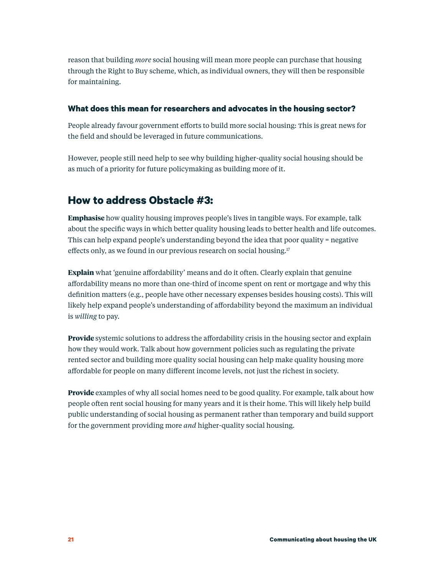reason that building *more* social housing will mean more people can purchase that housing through the Right to Buy scheme, which, as individual owners, they will then be responsible for maintaining.

#### **What does this mean for researchers and advocates in the housing sector?**

People already favour government efforts to build more social housing: This is great news for the field and should be leveraged in future communications.

However, people still need help to see why building higher-quality social housing should be as much of a priority for future policymaking as building more of it.

### **How to address Obstacle #3:**

**Emphasise** how quality housing improves people's lives in tangible ways. For example, talk about the specific ways in which better quality housing leads to better health and life outcomes. This can help expand people's understanding beyond the idea that poor quality = negative effects only, as we found in our previous research on social housing.<sup>17</sup>

**Explain** what 'genuine affordability' means and do it often. Clearly explain that genuine affordability means no more than one-third of income spent on rent or mortgage and why this definition matters (e.g., people have other necessary expenses besides housing costs). This will likely help expand people's understanding of affordability beyond the maximum an individual is *willing* to pay.

**Provide** systemic solutions to address the affordability crisis in the housing sector and explain how they would work. Talk about how government policies such as regulating the private rented sector and building more quality social housing can help make quality housing more affordable for people on many different income levels, not just the richest in society.

**Provide** examples of why all social homes need to be good quality. For example, talk about how people often rent social housing for many years and it is their home. This will likely help build public understanding of social housing as permanent rather than temporary and build support for the government providing more *and* higher-quality social housing.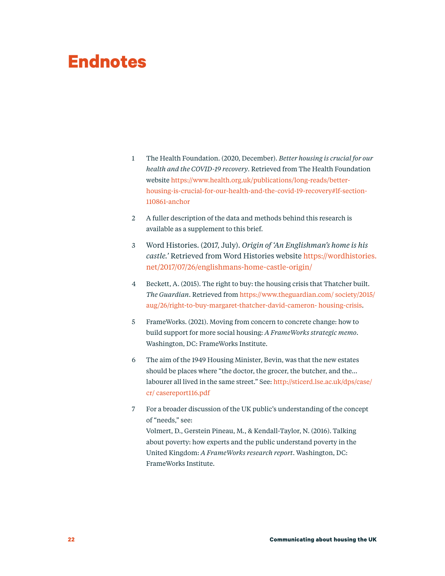# **Endnotes**

- 1 The Health Foundation. (2020, December). *Better housing is crucial for our health and the COVID-19 recovery*. Retrieved from The Health Foundation website [https://www.health.org.uk/publications/long-reads/better](https://www.health.org.uk/publications/long-reads/better-housing-is-crucial-for-our-health-and-the-c)[housing-is-crucial-for-our-health-and-the-covid-19-recovery#lf-section-](https://www.health.org.uk/publications/long-reads/better-housing-is-crucial-for-our-health-and-the-c)[110861-anchor](https://www.health.org.uk/publications/long-reads/better-housing-is-crucial-for-our-health-and-the-c)
- 2 A fuller description of the data and methods behind this research is available as a supplement to this brief.
- 3 Word Histories. (2017, July). *Origin of 'An Englishman's home is his castle.'* Retrieved from Word Histories website [https://wordhistories.](https://wordhistories.net/2017/07/26/englishmans-home-castle-origin/) [net/2017/07/26/englishmans-home-castle-origin/](https://wordhistories.net/2017/07/26/englishmans-home-castle-origin/)
- 4 Beckett, A. (2015). The right to buy: the housing crisis that Thatcher built. *The Guardian*. Retrieved from [https://www.theguardian.com/ society/2015/](https://www.theguardian.com/ society/2015/aug/26/right-to-buy-margaret-thatcher-david-cameron- housi) [aug/26/right-to-buy-margaret-thatcher-david-cameron- housing-crisis](https://www.theguardian.com/ society/2015/aug/26/right-to-buy-margaret-thatcher-david-cameron- housi).
- 5 FrameWorks. (2021). Moving from concern to concrete change: how to build support for more social housing: *A FrameWorks strategic memo*. Washington, DC: FrameWorks Institute.
- 6 The aim of the 1949 Housing Minister, Bevin, was that the new estates should be places where "the doctor, the grocer, the butcher, and the… labourer all lived in the same street." See: [http://sticerd.lse.ac.uk/dps/case/](http://sticerd.lse.ac.uk/dps/case/cr/ casereport116.pdf) [cr/ casereport116.pdf](http://sticerd.lse.ac.uk/dps/case/cr/ casereport116.pdf)
- 7 For a broader discussion of the UK public's understanding of the concept of "needs," see: Volmert, D., Gerstein Pineau, M., & Kendall-Taylor, N. (2016). Talking about poverty: how experts and the public understand poverty in the United Kingdom: *A FrameWorks research report*. Washington, DC: FrameWorks Institute.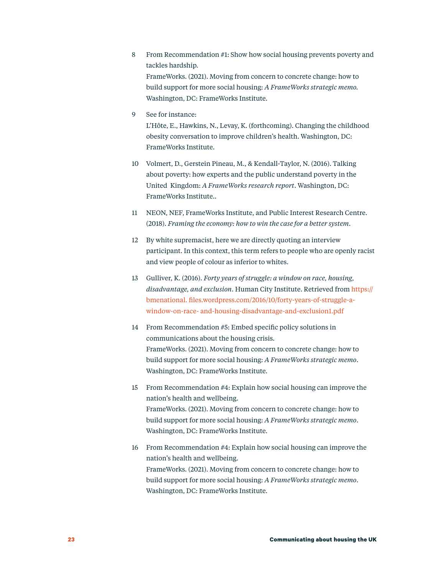- 8 From Recommendation #1: Show how social housing prevents poverty and tackles hardship. FrameWorks. (2021). Moving from concern to concrete change: how to build support for more social housing: *A FrameWorks strategic memo.* Washington, DC: FrameWorks Institute.
- 9 See for instance:

L'Hôte, E., Hawkins, N., Levay, K. (forthcoming). Changing the childhood obesity conversation to improve children's health. Washington, DC: FrameWorks Institute.

- 10 Volmert, D., Gerstein Pineau, M., & Kendall-Taylor, N. (2016). Talking about poverty: how experts and the public understand poverty in the United Kingdom: *A FrameWorks research report*. Washington, DC: FrameWorks Institute..
- 11 NEON, NEF, FrameWorks Institute, and Public Interest Research Centre. (2018). *Framing the economy: how to win the case for a better system*.
- 12 By white supremacist, here we are directly quoting an interview participant. In this context, this term refers to people who are openly racist and view people of colour as inferior to whites.
- 13 Gulliver, K. (2016). *Forty years of struggle: a window on race, housing, disadvantage, and exclusion*. Human City Institute. Retrieved from [https://](https://bmenational. files.wordpress.com/2016/10/forty-years-of-struggle-a-window-on-race- and-housi) [bmenational. files.wordpress.com/2016/10/forty-years-of-struggle-a](https://bmenational. files.wordpress.com/2016/10/forty-years-of-struggle-a-window-on-race- and-housi)[window-on-race- and-housing-disadvantage-and-exclusion1.pdf](https://bmenational. files.wordpress.com/2016/10/forty-years-of-struggle-a-window-on-race- and-housi)
- 14 From Recommendation #5: Embed specific policy solutions in communications about the housing crisis. FrameWorks. (2021). Moving from concern to concrete change: how to build support for more social housing: *A FrameWorks strategic memo*. Washington, DC: FrameWorks Institute.
- 15 From Recommendation #4: Explain how social housing can improve the nation's health and wellbeing. FrameWorks. (2021). Moving from concern to concrete change: how to build support for more social housing: *A FrameWorks strategic memo*. Washington, DC: FrameWorks Institute.
- 16 From Recommendation #4: Explain how social housing can improve the nation's health and wellbeing. FrameWorks. (2021). Moving from concern to concrete change: how to build support for more social housing: *A FrameWorks strategic memo*. Washington, DC: FrameWorks Institute.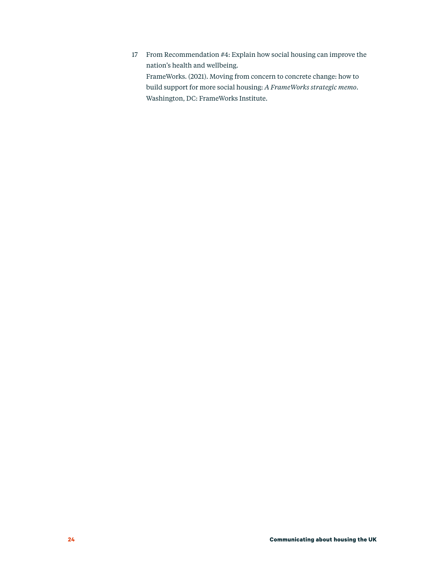17 From Recommendation #4: Explain how social housing can improve the nation's health and wellbeing. FrameWorks. (2021). Moving from concern to concrete change: how to build support for more social housing: *A FrameWorks strategic memo*. Washington, DC: FrameWorks Institute.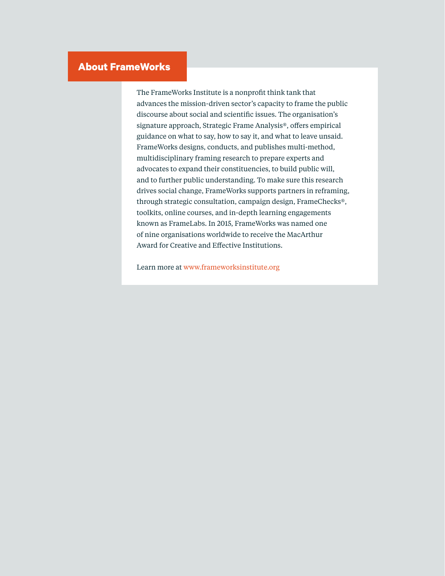### **About FrameWorks**

The FrameWorks Institute is a nonprofit think tank that advances the mission-driven sector's capacity to frame the public discourse about social and scientific issues. The organisation's signature approach, Strategic Frame Analysis®, offers empirical guidance on what to say, how to say it, and what to leave unsaid. FrameWorks designs, conducts, and publishes multi-method, multidisciplinary framing research to prepare experts and advocates to expand their constituencies, to build public will, and to further public understanding. To make sure this research drives social change, FrameWorks supports partners in reframing, through strategic consultation, campaign design, FrameChecks®, toolkits, online courses, and in-depth learning engagements known as FrameLabs. In 2015, FrameWorks was named one of nine organisations worldwide to receive the MacArthur Award for Creative and Effective Institutions.

Learn more at [www.frameworksinstitute.org](http://www.frameworksinstitute.org/)